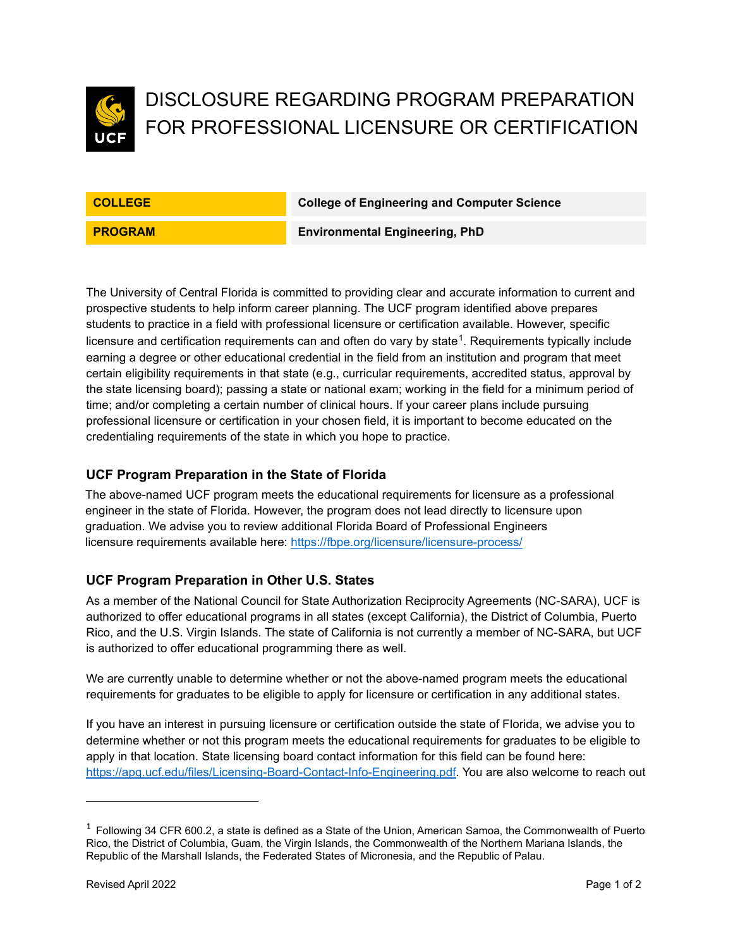

# DISCLOSURE REGARDING PROGRAM PREPARATION FOR PROFESSIONAL LICENSURE OR CERTIFICATION

**COLLEGE College of Engineering and Computer Science**

**PROGRAM Environmental Engineering, PhD**

The University of Central Florida is committed to providing clear and accurate information to current and prospective students to help inform career planning. The UCF program identified above prepares students to practice in a field with professional licensure or certification available. However, specific licensure and certification requirements can and often do vary by state $^1$  $^1$ . Requirements typically include earning a degree or other educational credential in the field from an institution and program that meet certain eligibility requirements in that state (e.g., curricular requirements, accredited status, approval by the state licensing board); passing a state or national exam; working in the field for a minimum period of time; and/or completing a certain number of clinical hours. If your career plans include pursuing professional licensure or certification in your chosen field, it is important to become educated on the credentialing requirements of the state in which you hope to practice.

## **UCF Program Preparation in the State of Florida**

The above-named UCF program meets the educational requirements for licensure as a professional engineer in the state of Florida. However, the program does not lead directly to licensure upon graduation. We advise you to review additional Florida Board of Professional Engineers licensure requirements available here: [https://fbpe.org/licensure/licensure-process/](https://nam02.safelinks.protection.outlook.com/?url=https%3A%2F%2Ffbpe.org%2Flicensure%2Flicensure-process%2F&data=02%7C01%7CLauren.Maroon%40ucf.edu%7C5aef54114c774f78248108d80eedb2b0%7Cbb932f15ef3842ba91fcf3c59d5dd1f1%7C0%7C0%7C637275761350047543&sdata=q%2FwOJEV76gENvBtseGUCDD25dDOB7GLLcJnvQHX9TGs%3D&reserved=0)

## **UCF Program Preparation in Other U.S. States**

As a member of the National Council for State Authorization Reciprocity Agreements (NC-SARA), UCF is authorized to offer educational programs in all states (except California), the District of Columbia, Puerto Rico, and the U.S. Virgin Islands. The state of California is not currently a member of NC-SARA, but UCF is authorized to offer educational programming there as well.

We are currently unable to determine whether or not the above-named program meets the educational requirements for graduates to be eligible to apply for licensure or certification in any additional states.

If you have an interest in pursuing licensure or certification outside the state of Florida, we advise you to determine whether or not this program meets the educational requirements for graduates to be eligible to apply in that location. State licensing board contact information for this field can be found here: [https://apq.ucf.edu/files/Licensing-Board-Contact-Info-Engineering.pdf.](https://apq.ucf.edu/files/Licensing-Board-Contact-Info-Engineering.pdf) You are also welcome to reach out

<span id="page-0-0"></span> $1$  Following 34 CFR 600.2, a state is defined as a State of the Union, American Samoa, the Commonwealth of Puerto Rico, the District of Columbia, Guam, the Virgin Islands, the Commonwealth of the Northern Mariana Islands, the Republic of the Marshall Islands, the Federated States of Micronesia, and the Republic of Palau.